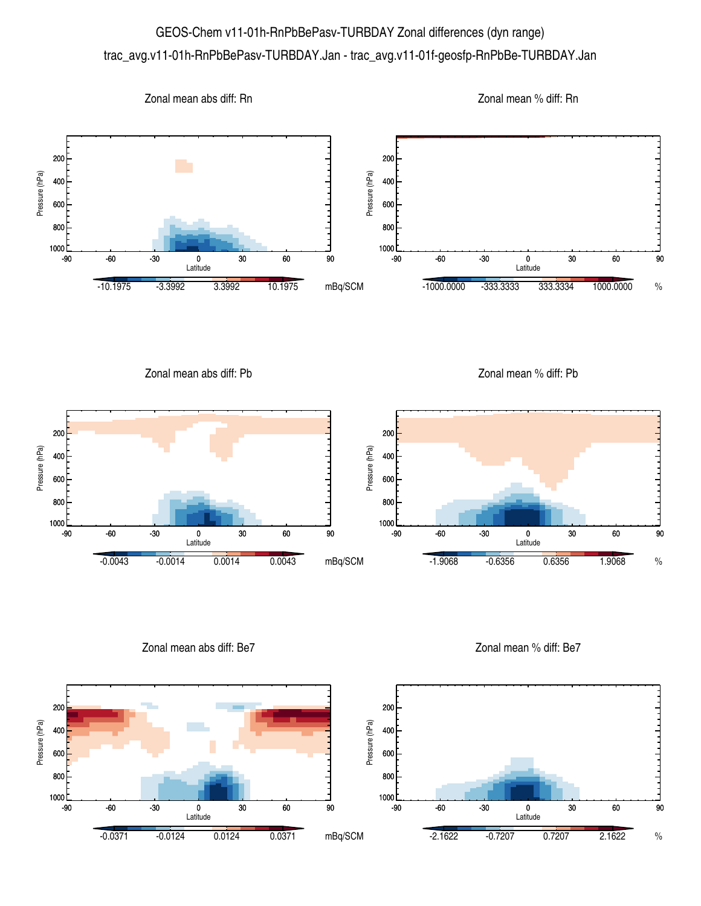## GEOS-Chem v11-01h-RnPbBePasv-TURBDAY Zonal differences (dyn range) trac\_avg.v11-01h-RnPbBePasv-TURBDAY.Jan - trac\_avg.v11-01f-geosfp-RnPbBe-TURBDAY.Jan



Zonal mean abs diff: Be7

Pressure (hPa)

Pressure (hPa)

Zonal mean % diff: Be7